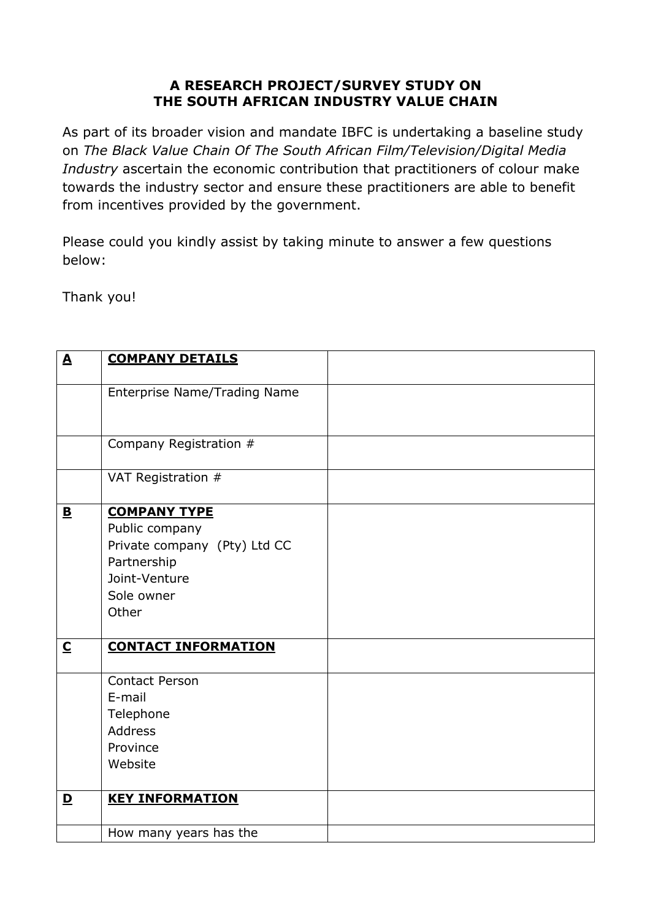## **A RESEARCH PROJECT/SURVEY STUDY ON THE SOUTH AFRICAN INDUSTRY VALUE CHAIN**

As part of its broader vision and mandate IBFC is undertaking a baseline study on *The Black Value Chain Of The South African Film/Television/Digital Media Industry* ascertain the economic contribution that practitioners of colour make towards the industry sector and ensure these practitioners are able to benefit from incentives provided by the government.

Please could you kindly assist by taking minute to answer a few questions below:

Thank you!

| $\blacktriangle$        | <b>COMPANY DETAILS</b>       |  |
|-------------------------|------------------------------|--|
|                         | Enterprise Name/Trading Name |  |
|                         |                              |  |
|                         |                              |  |
|                         | Company Registration #       |  |
|                         |                              |  |
|                         | VAT Registration #           |  |
| $\mathbf{B}$            | <b>COMPANY TYPE</b>          |  |
|                         | Public company               |  |
|                         | Private company (Pty) Ltd CC |  |
|                         | Partnership                  |  |
|                         | Joint-Venture                |  |
|                         | Sole owner                   |  |
|                         | Other                        |  |
| $\overline{\mathbf{C}}$ | <b>CONTACT INFORMATION</b>   |  |
|                         |                              |  |
|                         | <b>Contact Person</b>        |  |
|                         | E-mail                       |  |
|                         | Telephone                    |  |
|                         | <b>Address</b>               |  |
|                         | Province                     |  |
|                         | Website                      |  |
| $\mathbf{D}$            | <b>KEY INFORMATION</b>       |  |
|                         |                              |  |
|                         | How many years has the       |  |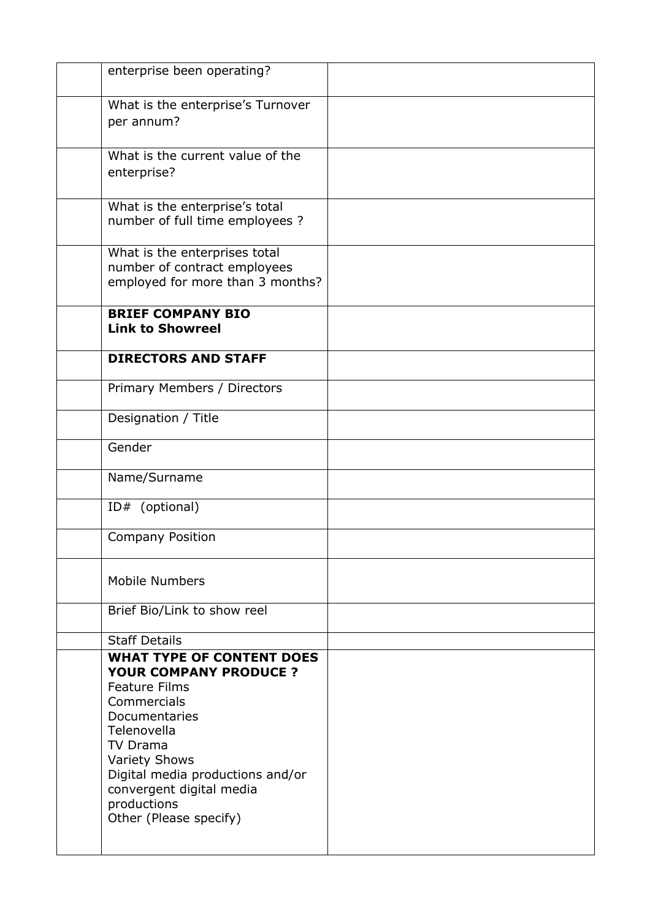| enterprise been operating?                                                                                                                                                                                                                                                                   |  |
|----------------------------------------------------------------------------------------------------------------------------------------------------------------------------------------------------------------------------------------------------------------------------------------------|--|
| What is the enterprise's Turnover<br>per annum?                                                                                                                                                                                                                                              |  |
| What is the current value of the<br>enterprise?                                                                                                                                                                                                                                              |  |
| What is the enterprise's total<br>number of full time employees ?                                                                                                                                                                                                                            |  |
| What is the enterprises total<br>number of contract employees<br>employed for more than 3 months?                                                                                                                                                                                            |  |
| <b>BRIEF COMPANY BIO</b><br><b>Link to Showreel</b>                                                                                                                                                                                                                                          |  |
| <b>DIRECTORS AND STAFF</b>                                                                                                                                                                                                                                                                   |  |
| Primary Members / Directors                                                                                                                                                                                                                                                                  |  |
| Designation / Title                                                                                                                                                                                                                                                                          |  |
| Gender                                                                                                                                                                                                                                                                                       |  |
| Name/Surname                                                                                                                                                                                                                                                                                 |  |
| ID# (optional)                                                                                                                                                                                                                                                                               |  |
| Company Position                                                                                                                                                                                                                                                                             |  |
| <b>Mobile Numbers</b>                                                                                                                                                                                                                                                                        |  |
| Brief Bio/Link to show reel                                                                                                                                                                                                                                                                  |  |
| <b>Staff Details</b>                                                                                                                                                                                                                                                                         |  |
| <b>WHAT TYPE OF CONTENT DOES</b><br><b>YOUR COMPANY PRODUCE ?</b><br><b>Feature Films</b><br>Commercials<br>Documentaries<br>Telenovella<br><b>TV Drama</b><br><b>Variety Shows</b><br>Digital media productions and/or<br>convergent digital media<br>productions<br>Other (Please specify) |  |